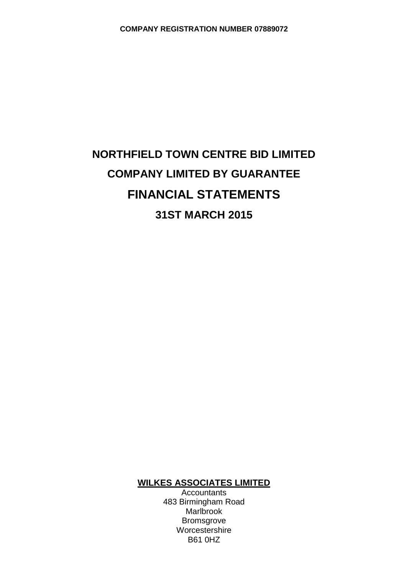# **NORTHFIELD TOWN CENTRE BID LIMITED COMPANY LIMITED BY GUARANTEE FINANCIAL STATEMENTS 31ST MARCH 2015**

# **WILKES ASSOCIATES LIMITED**

**Accountants** 483 Birmingham Road Marlbrook Bromsgrove Worcestershire B61 0HZ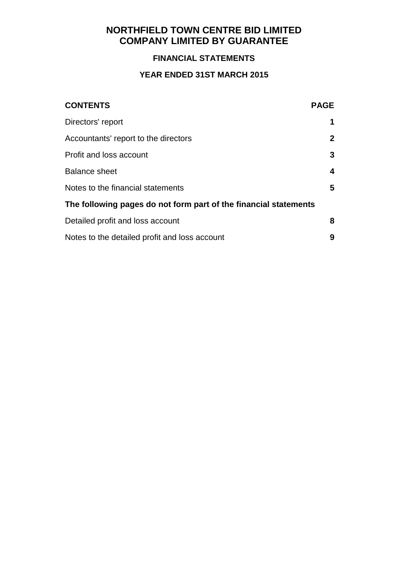### **FINANCIAL STATEMENTS**

# **YEAR ENDED 31ST MARCH 2015**

| <b>CONTENTS</b>                                                  | <b>PAGE</b>  |
|------------------------------------------------------------------|--------------|
| Directors' report                                                | 1            |
| Accountants' report to the directors                             | $\mathbf{2}$ |
| Profit and loss account                                          | 3            |
| <b>Balance sheet</b>                                             | 4            |
| Notes to the financial statements                                | 5            |
| The following pages do not form part of the financial statements |              |
| Detailed profit and loss account                                 | 8            |
| Notes to the detailed profit and loss account                    | 9            |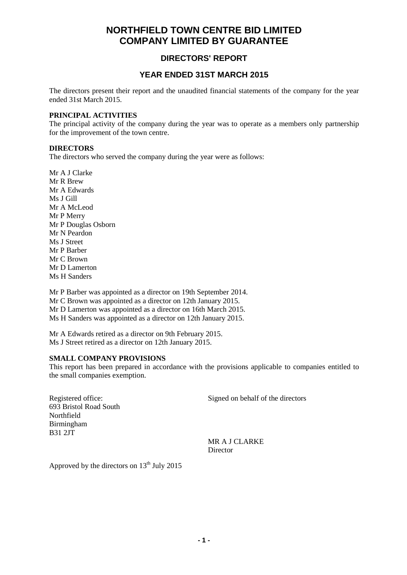### **DIRECTORS' REPORT**

#### **YEAR ENDED 31ST MARCH 2015**

The directors present their report and the unaudited financial statements of the company for the year ended 31st March 2015.

#### **PRINCIPAL ACTIVITIES**

The principal activity of the company during the year was to operate as a members only partnership for the improvement of the town centre.

#### **DIRECTORS**

The directors who served the company during the year were as follows:

Mr A J Clarke Mr R Brew Mr A Edwards Ms J Gill Mr A McLeod Mr P Merry Mr P Douglas Osborn Mr N Peardon Ms J Street Mr P Barber Mr C Brown Mr D Lamerton Ms H Sanders

Mr P Barber was appointed as a director on 19th September 2014. Mr C Brown was appointed as a director on 12th January 2015. Mr D Lamerton was appointed as a director on 16th March 2015. Ms H Sanders was appointed as a director on 12th January 2015.

Mr A Edwards retired as a director on 9th February 2015. Ms J Street retired as a director on 12th January 2015.

#### **SMALL COMPANY PROVISIONS**

This report has been prepared in accordance with the provisions applicable to companies entitled to the small companies exemption.

693 Bristol Road South Northfield Birmingham B31 2JT

Registered office: Signed on behalf of the directors

MR A J CLARKE Director

Approved by the directors on  $13<sup>th</sup>$  July 2015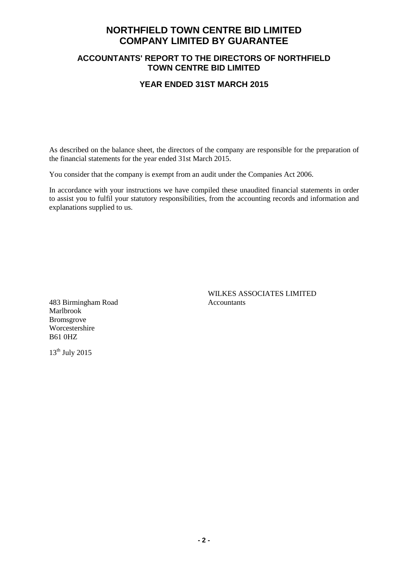#### **ACCOUNTANTS' REPORT TO THE DIRECTORS OF NORTHFIELD TOWN CENTRE BID LIMITED**

#### **YEAR ENDED 31ST MARCH 2015**

As described on the balance sheet, the directors of the company are responsible for the preparation of the financial statements for the year ended 31st March 2015.

You consider that the company is exempt from an audit under the Companies Act 2006.

In accordance with your instructions we have compiled these unaudited financial statements in order to assist you to fulfil your statutory responsibilities, from the accounting records and information and explanations supplied to us.

483 Birmingham Road Accountants Marlbrook Bromsgrove Worcestershire B61 0HZ

WILKES ASSOCIATES LIMITED

 $13<sup>th</sup>$  July 2015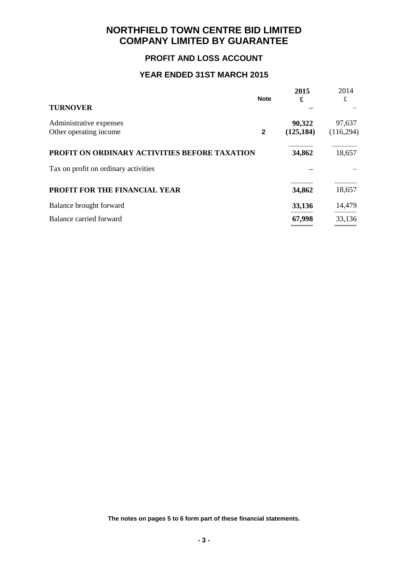### **PROFIT AND LOSS ACCOUNT**

### **YEAR ENDED 31ST MARCH 2015**

|                                                   | <b>Note</b>  | 2015<br>£            | 2014<br>£            |
|---------------------------------------------------|--------------|----------------------|----------------------|
| <b>TURNOVER</b>                                   |              |                      |                      |
| Administrative expenses<br>Other operating income | $\mathbf{2}$ | 90,322<br>(125, 184) | 97,637<br>(116, 294) |
| PROFIT ON ORDINARY ACTIVITIES BEFORE TAXATION     |              | 34,862               | 18,657               |
| Tax on profit on ordinary activities              |              |                      |                      |
| PROFIT FOR THE FINANCIAL YEAR                     |              | 34,862               | 18,657               |
| Balance brought forward                           |              | 33,136               | 14,479               |
| Balance carried forward                           |              | 67,998               | 33,136               |

**The notes on pages 5 to 6 form part of these financial statements.**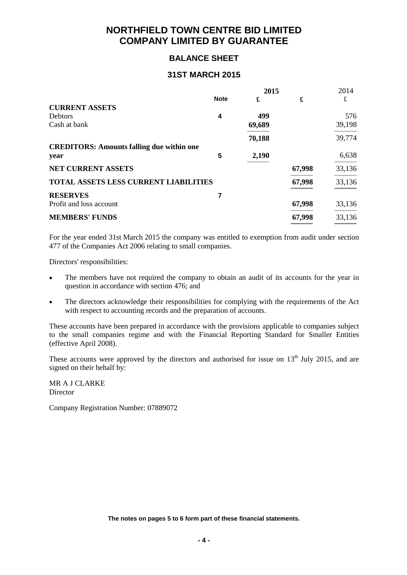### **BALANCE SHEET**

#### **31ST MARCH 2015**

|                                                  | 2015        |        |        | 2014   |
|--------------------------------------------------|-------------|--------|--------|--------|
|                                                  | <b>Note</b> | £      | £      | £      |
| <b>CURRENT ASSETS</b>                            |             |        |        |        |
| <b>Debtors</b>                                   | 4           | 499    |        | 576    |
| Cash at bank                                     |             | 69,689 |        | 39,198 |
|                                                  |             | 70,188 |        | 39,774 |
| <b>CREDITORS: Amounts falling due within one</b> |             |        |        |        |
| year                                             | 5           | 2,190  |        | 6,638  |
| <b>NET CURRENT ASSETS</b>                        |             |        | 67,998 | 33,136 |
| <b>TOTAL ASSETS LESS CURRENT LIABILITIES</b>     |             |        | 67,998 | 33,136 |
| <b>RESERVES</b>                                  |             |        |        |        |
| Profit and loss account                          |             |        | 67,998 | 33,136 |
| <b>MEMBERS' FUNDS</b>                            |             |        | 67,998 | 33,136 |
|                                                  |             |        |        |        |

For the year ended 31st March 2015 the company was entitled to exemption from audit under section 477 of the Companies Act 2006 relating to small companies.

Directors' responsibilities:

- The members have not required the company to obtain an audit of its accounts for the year in question in accordance with section 476; and
- The directors acknowledge their responsibilities for complying with the requirements of the Act with respect to accounting records and the preparation of accounts.

These accounts have been prepared in accordance with the provisions applicable to companies subject to the small companies regime and with the Financial Reporting Standard for Smaller Entities (effective April 2008).

These accounts were approved by the directors and authorised for issue on  $13<sup>th</sup>$  July 2015, and are signed on their behalf by:

MR A J CLARKE Director

Company Registration Number: 07889072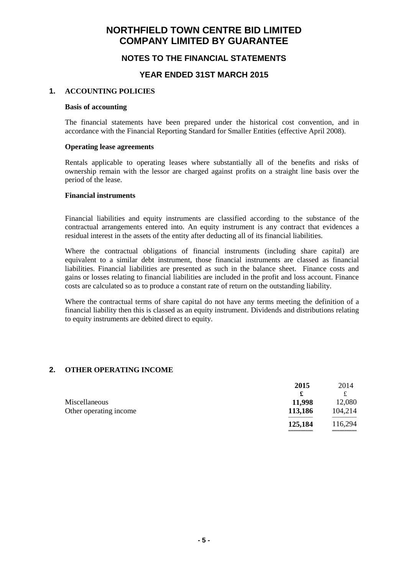### **NOTES TO THE FINANCIAL STATEMENTS**

#### **YEAR ENDED 31ST MARCH 2015**

#### **1. ACCOUNTING POLICIES**

#### **Basis of accounting**

The financial statements have been prepared under the historical cost convention, and in accordance with the Financial Reporting Standard for Smaller Entities (effective April 2008).

#### **Operating lease agreements**

Rentals applicable to operating leases where substantially all of the benefits and risks of ownership remain with the lessor are charged against profits on a straight line basis over the period of the lease.

#### **Financial instruments**

Financial liabilities and equity instruments are classified according to the substance of the contractual arrangements entered into. An equity instrument is any contract that evidences a residual interest in the assets of the entity after deducting all of its financial liabilities.

Where the contractual obligations of financial instruments (including share capital) are equivalent to a similar debt instrument, those financial instruments are classed as financial liabilities. Financial liabilities are presented as such in the balance sheet. Finance costs and gains or losses relating to financial liabilities are included in the profit and loss account. Finance costs are calculated so as to produce a constant rate of return on the outstanding liability.

Where the contractual terms of share capital do not have any terms meeting the definition of a financial liability then this is classed as an equity instrument. Dividends and distributions relating to equity instruments are debited direct to equity.

#### **2. OTHER OPERATING INCOME**

|                        | 2015    | 2014    |
|------------------------|---------|---------|
|                        | £       |         |
| Miscellaneous          | 11,998  | 12,080  |
| Other operating income | 113,186 | 104,214 |
|                        | 125,184 | 116,294 |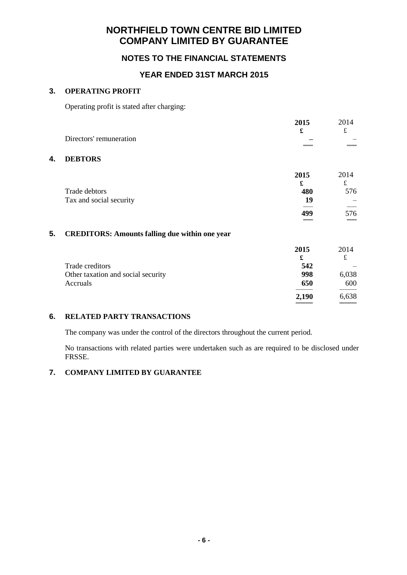### **NOTES TO THE FINANCIAL STATEMENTS**

### **YEAR ENDED 31ST MARCH 2015**

#### **3. OPERATING PROFIT**

Operating profit is stated after charging:

|    |                                                       | 2015  | 2014        |
|----|-------------------------------------------------------|-------|-------------|
|    |                                                       | £     | $\mathbf f$ |
|    | Directors' remuneration                               |       |             |
|    |                                                       |       |             |
| 4. | <b>DEBTORS</b>                                        |       |             |
|    |                                                       | 2015  | 2014        |
|    |                                                       | £     | $\pounds$   |
|    | Trade debtors                                         | 480   | 576         |
|    | Tax and social security                               | 19    |             |
|    |                                                       | 499   | 576         |
|    |                                                       |       |             |
| 5. | <b>CREDITORS: Amounts falling due within one year</b> |       |             |
|    |                                                       | 2015  | 2014        |
|    |                                                       | £     | $\mathbf f$ |
|    | Trade creditors                                       | 542   |             |
|    | Other taxation and social security                    | 998   | 6,038       |
|    | Accruals                                              | 650   | 600         |
|    |                                                       | 2,190 | 6,638       |
|    |                                                       |       |             |

#### **6. RELATED PARTY TRANSACTIONS**

The company was under the control of the directors throughout the current period.

No transactions with related parties were undertaken such as are required to be disclosed under FRSSE.

#### **7. COMPANY LIMITED BY GUARANTEE**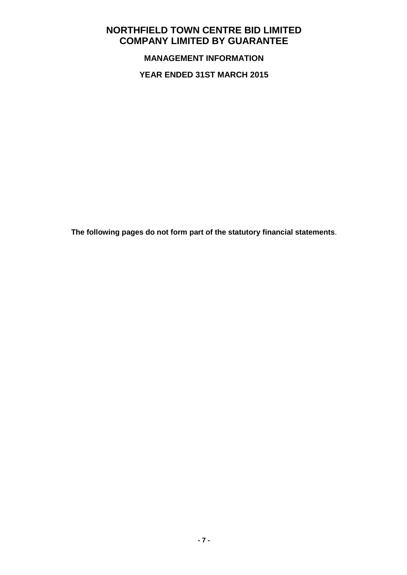**MANAGEMENT INFORMATION**

**YEAR ENDED 31ST MARCH 2015**

**The following pages do not form part of the statutory financial statements**.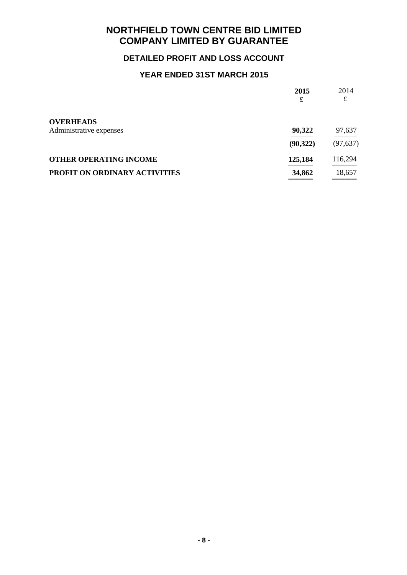# **DETAILED PROFIT AND LOSS ACCOUNT**

# **YEAR ENDED 31ST MARCH 2015**

| 2015<br>£ | 2014<br>£ |
|-----------|-----------|
|           |           |
| 90,322    | 97,637    |
| (90, 322) | (97, 637) |
| 125,184   | 116,294   |
| 34,862    | 18,657    |
|           |           |